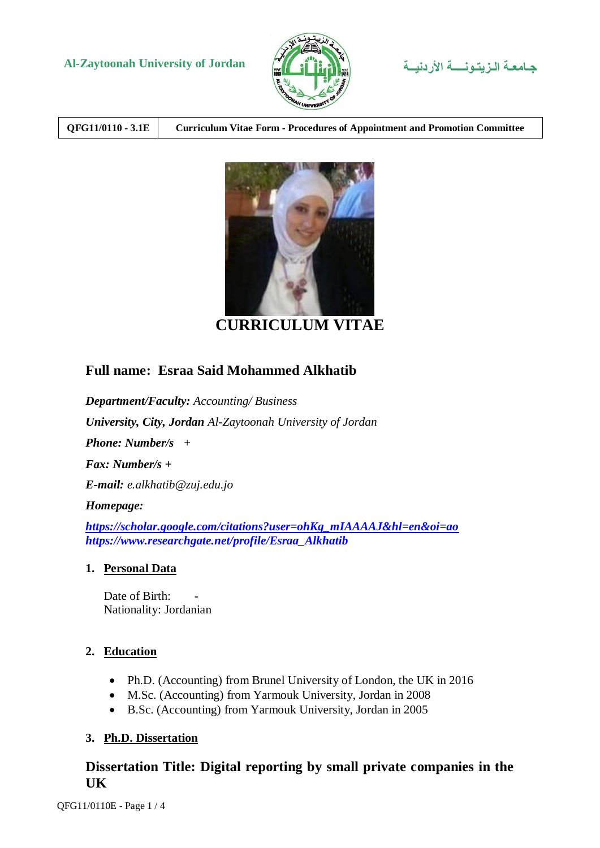# **Al-Zaytoonah University of Jordan األردنيــة الـزيتـونــــة جـامعـة**





| QFG11/0110 - 3.1E | <b>Curriculum Vitae Form - Procedures of Appointment and Promotion Committee</b> |
|-------------------|----------------------------------------------------------------------------------|
|                   |                                                                                  |



**CURRICULUM VITAE**

# **Full name: Esraa Said Mohammed Alkhatib**

*[https://www.researchgate.net/profile/Esraa\\_Alkhatib](https://www.researchgate.net/profile/Esraa_Alkhatib)*

*Department/Faculty: Accounting/ Business University, City, Jordan Al-Zaytoonah University of Jordan Phone: Number/s + Fax: Number/s + E-mail: e.alkhatib@zuj.edu.jo Homepage: [https://scholar.google.com/citations?user=ohKg\\_mIAAAAJ&hl=en&oi=ao](https://scholar.google.com/citations?user=ohKg_mIAAAAJ&hl=en&oi=ao)*

#### **1. Personal Data**

Date of Birth: Nationality: Jordanian

### **2. Education**

- Ph.D. (Accounting) from Brunel University of London, the UK in 2016
- M.Sc. (Accounting) from Yarmouk University, Jordan in 2008
- B.Sc. (Accounting) from Yarmouk University, Jordan in 2005

### **3. Ph.D. Dissertation**

## **Dissertation Title: Digital reporting by small private companies in the UK**

QFG11/0110E - Page 1 / 4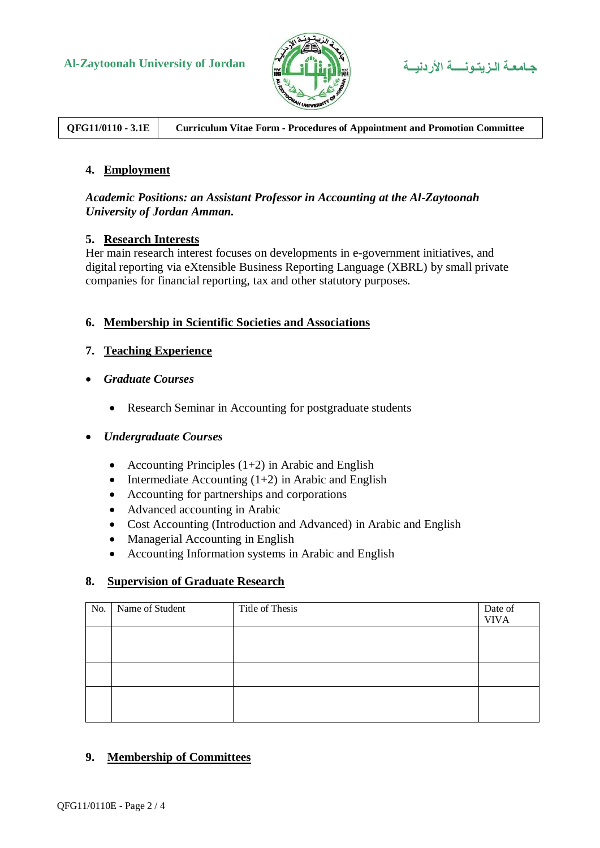

**QFG11/0110 - 3.1E Curriculum Vitae Form - Procedures of Appointment and Promotion Committee**

### **4. Employment**

#### *Academic Positions: an Assistant Professor in Accounting at the Al-Zaytoonah University of Jordan Amman.*

#### **5. Research Interests**

Her main research interest focuses on developments in e-government initiatives, and digital reporting via eXtensible Business Reporting Language (XBRL) by small private companies for financial reporting, tax and other statutory purposes.

#### **6. Membership in Scientific Societies and Associations**

### **7. Teaching Experience**

- *Graduate Courses*
	- Research Seminar in Accounting for postgraduate students

#### *Undergraduate Courses*

- Accounting Principles  $(1+2)$  in Arabic and English
- Intermediate Accounting  $(1+2)$  in Arabic and English
- Accounting for partnerships and corporations
- Advanced accounting in Arabic
- Cost Accounting (Introduction and Advanced) in Arabic and English
- Managerial Accounting in English
- Accounting Information systems in Arabic and English

### **8. Supervision of Graduate Research**

| No. | Name of Student | Title of Thesis | Date of<br><b>VIVA</b> |
|-----|-----------------|-----------------|------------------------|
|     |                 |                 |                        |
|     |                 |                 |                        |
|     |                 |                 |                        |
|     |                 |                 |                        |
|     |                 |                 |                        |

### **9. Membership of Committees**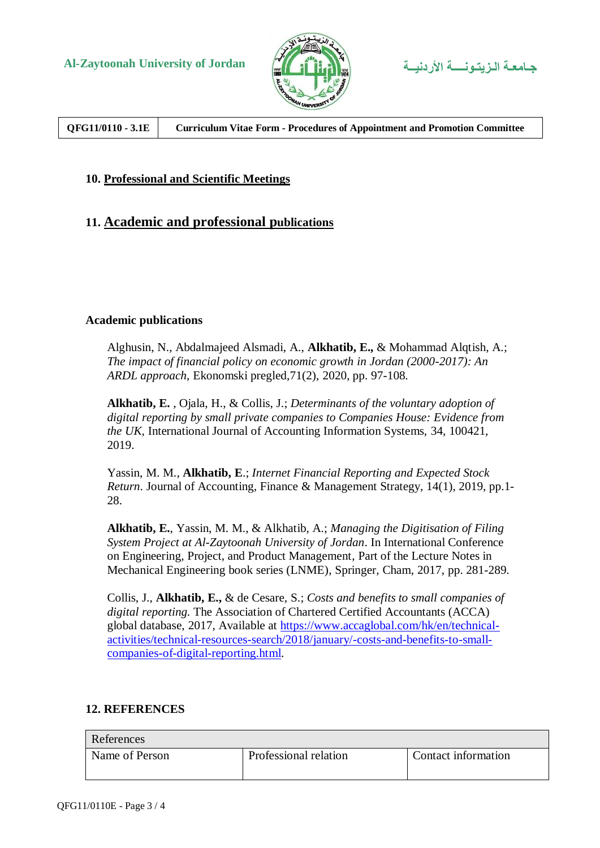



**QFG11/0110 - 3.1E Curriculum Vitae Form - Procedures of Appointment and Promotion Committee**

#### **10. Professional and Scientific Meetings**

## **11. Academic and professional publications**

#### **Academic publications**

Alghusin, N., Abdalmajeed Alsmadi, A., **Alkhatib, E.,** & Mohammad Alqtish, A.; *The impact of financial policy on economic growth in Jordan (2000-2017): An ARDL approach*, Ekonomski pregled,71(2), 2020, pp. 97-108.

**Alkhatib, E.** , Ojala, H., & Collis, J.; *Determinants of the voluntary adoption of digital reporting by small private companies to Companies House: Evidence from the UK,* International Journal of Accounting Information Systems, 34, 100421, 2019.

Yassin, M. M., **Alkhatib, E**.; *Internet Financial Reporting and Expected Stock Return*. Journal of Accounting, Finance & Management Strategy, 14(1), 2019, pp.1- 28.

**Alkhatib, E.**, Yassin, M. M., & Alkhatib, A.; *Managing the Digitisation of Filing System Project at Al-Zaytoonah University of Jordan*. In International Conference on Engineering, Project, and Product Management, Part of the [Lecture Notes in](https://link.springer.com/bookseries/11236)  [Mechanical Engineering](https://link.springer.com/bookseries/11236) book series (LNME), Springer, Cham, 2017, pp. 281-289.

Collis, J., **Alkhatib, E.,** & de Cesare, S.; *Costs and benefits to small companies of digital reporting.* The Association of Chartered Certified Accountants (ACCA) global database, 2017, Available at [https://www.accaglobal.com/hk/en/technical](https://www.accaglobal.com/hk/en/technical-activities/technical-resources-search/2018/january/-costs-and-benefits-to-small-companies-of-digital-reporting.html)[activities/technical-resources-search/2018/january/-costs-and-benefits-to-small](https://www.accaglobal.com/hk/en/technical-activities/technical-resources-search/2018/january/-costs-and-benefits-to-small-companies-of-digital-reporting.html)[companies-of-digital-reporting.html.](https://www.accaglobal.com/hk/en/technical-activities/technical-resources-search/2018/january/-costs-and-benefits-to-small-companies-of-digital-reporting.html)

### **12. REFERENCES**

| References     |                       |                     |  |  |
|----------------|-----------------------|---------------------|--|--|
| Name of Person | Professional relation | Contact information |  |  |
|                |                       |                     |  |  |